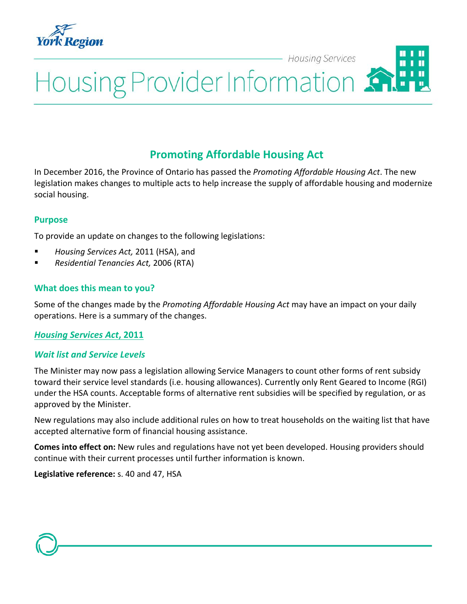

#### **Housing Services**

# Housing Provider Information

# **Promoting Affordable Housing Act**

In December 2016, the Province of Ontario has passed the *Promoting Affordable Housing Act*. The new legislation makes changes to multiple acts to help increase the supply of affordable housing and modernize social housing.

#### **Purpose**

To provide an update on changes to the following legislations:

- *Housing Services Act,* 2011 (HSA), and
- *Residential Tenancies Act,* 2006 (RTA)

#### **What does this mean to you?**

Some of the changes made by the *Promoting Affordable Housing Act* may have an impact on your daily operations. Here is a summary of the changes.

#### *Housing Services Act***, 2011**

#### *Wait list and Service Levels*

The Minister may now pass a legislation allowing Service Managers to count other forms of rent subsidy toward their service level standards (i.e. housing allowances). Currently only Rent Geared to Income (RGI) under the HSA counts. Acceptable forms of alternative rent subsidies will be specified by regulation, or as approved by the Minister.

New regulations may also include additional rules on how to treat households on the waiting list that have accepted alternative form of financial housing assistance.

**Comes into effect on:** New rules and regulations have not yet been developed. Housing providers should continue with their current processes until further information is known.

**Legislative reference:** s. 40 and 47, HSA